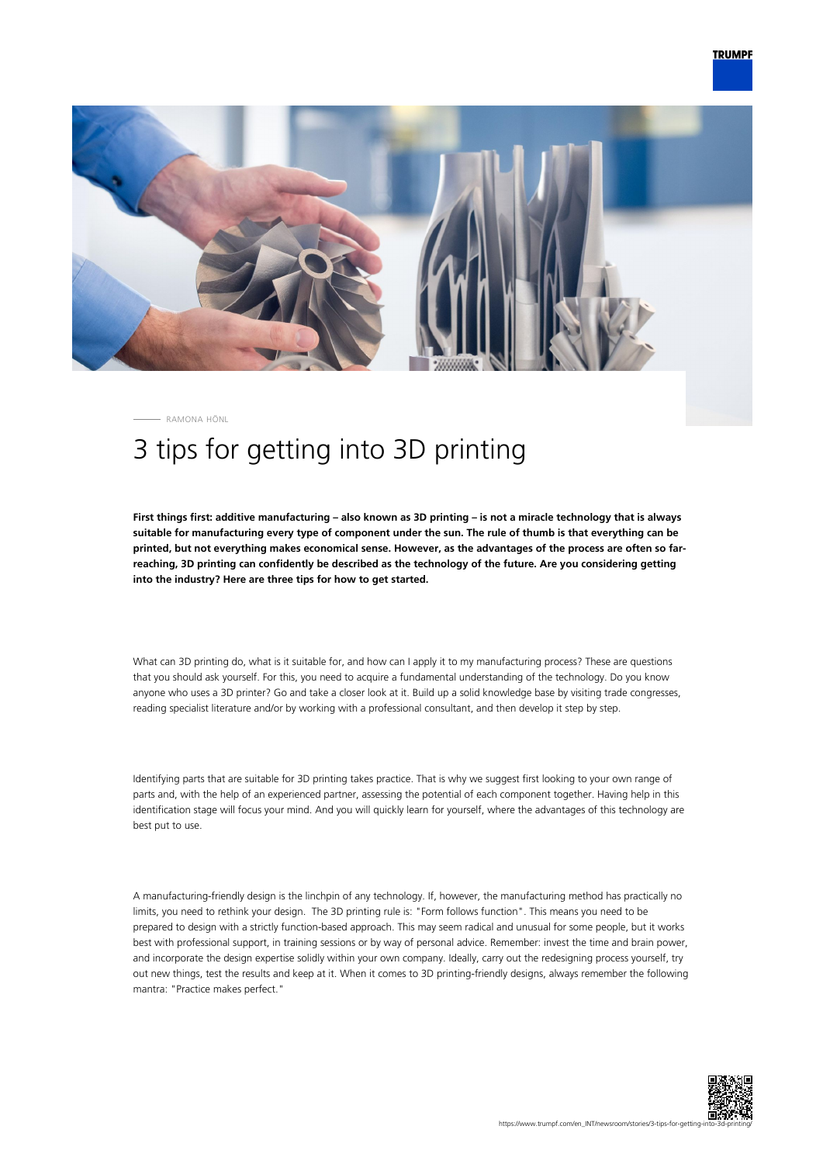

RAMONA HÖNL

## 3 tips for getting into 3D printing

**First things first: additive manufacturing – also known as 3D printing – is not a miracle technology that is always suitable for manufacturing every type of component under the sun. The rule of thumb is that everything can be printed, but not everything makes economical sense. However, as the advantages of the process are often so farreaching, 3D printing can confidently be described as the technology of the future. Are you considering getting into the industry? Here are three tips for how to get started.**

What can 3D printing do, what is it suitable for, and how can I apply it to my manufacturing process? These are questions that you should ask yourself. For this, you need to acquire a fundamental understanding of the technology. Do you know anyone who uses a 3D printer? Go and take a closer look at it. Build up a solid knowledge base by visiting trade congresses, reading specialist literature and/or by working with a professional consultant, and then develop it step by step.

Identifying parts that are suitable for 3D printing takes practice. That is why we suggest first looking to your own range of parts and, with the help of an experienced partner, assessing the potential of each component together. Having help in this identification stage will focus your mind. And you will quickly learn for yourself, where the advantages of this technology are best put to use.

A manufacturing-friendly design is the linchpin of any technology. If, however, the manufacturing method has practically no limits, you need to rethink your design. The 3D printing rule is: "Form follows function". This means you need to be prepared to design with a strictly function-based approach. This may seem radical and unusual for some people, but it works best with professional support, in training sessions or by way of personal advice. Remember: invest the time and brain power, and incorporate the design expertise solidly within your own company. Ideally, carry out the redesigning process yourself, try out new things, test the results and keep at it. When it comes to 3D printing-friendly designs, always remember the following mantra: "Practice makes perfect."